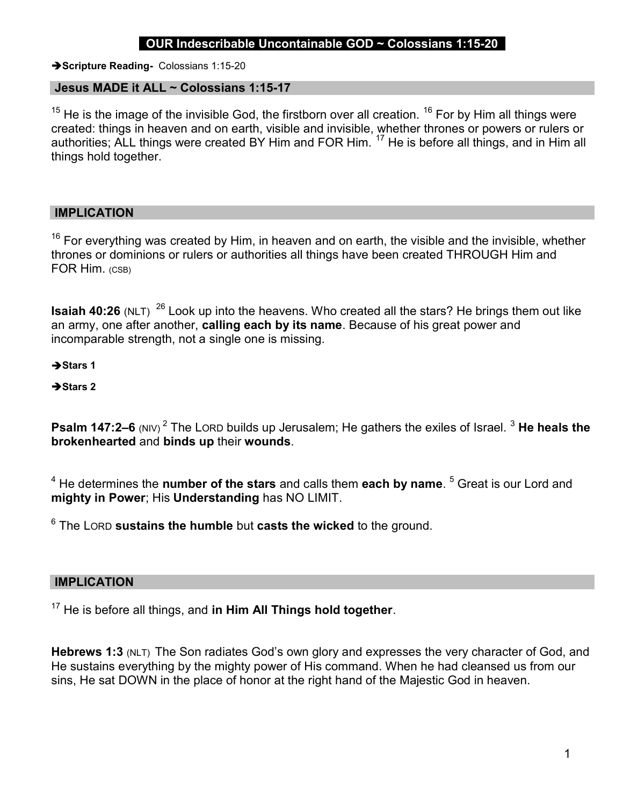# OUR Indescribable Uncontainable GOD  $\sim$  Colossians 1:15-20

Scripture Reading- Colossians 1:15-20

#### Jesus MADE it ALL ~ Colossians 1:15-17

 $15$  He is the image of the invisible God, the firstborn over all creation.  $16$  For by Him all things were created: things in heaven and on earth, visible and invisible, whether thrones or powers or rulers or authorities; ALL things were created BY Him and FOR Him.<sup>17</sup> He is before all things, and in Him all things hold together.

#### IMPLICATION

 $16$  For everything was created by Him, in heaven and on earth, the visible and the invisible, whether thrones or dominions or rulers or authorities all things have been created THROUGH Him and FOR Him. (CSB)

**Isaiah 40:26** (NLT) <sup>26</sup> Look up into the heavens. Who created all the stars? He brings them out like an army, one after another, calling each by its name. Because of his great power and incomparable strength, not a single one is missing.

 $\rightarrow$  Stars 1

 $\rightarrow$  Stars 2

**Psalm 147:2–6** (NIV)  $^2$  The LORD builds up Jerusalem; He gathers the exiles of Israel.  $^3$  **He heals the** brokenhearted and binds up their wounds.

 $^4$  He determines the **number of the stars** and calls them **each by name**.  $^5$  Great is our Lord and mighty in Power; His Understanding has NO LIMIT.

 $^6$  The LORD sustains the humble but casts the wicked to the ground.

#### IMPLICATION

 $17$  He is before all things, and in Him All Things hold together.

Hebrews 1:3 (NLT) The Son radiates God's own glory and expresses the very character of God, and He sustains everything by the mighty power of His command. When he had cleansed us from our sins, He sat DOWN in the place of honor at the right hand of the Majestic God in heaven.